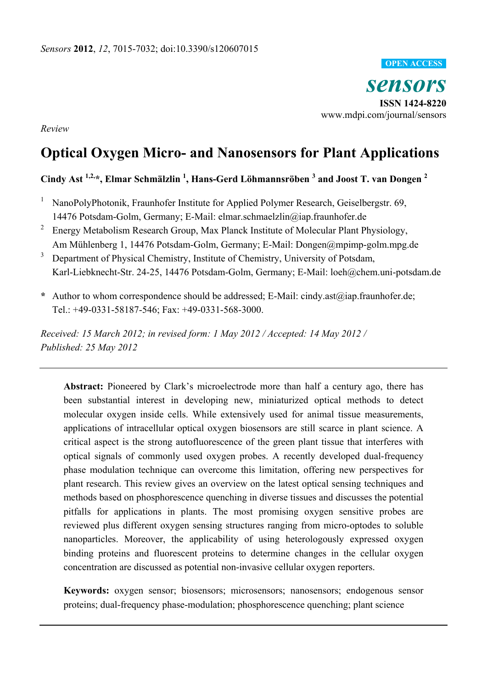#### **OPEN ACCESS**

*sensors*  **ISSN 1424-8220**  www.mdpi.com/journal/sensors

*Review* 

# **Optical Oxygen Micro- and Nanosensors for Plant Applications**

# **Cindy Ast 1,2,\*, Elmar Schmälzlin 1 , Hans-Gerd Löhmannsröben <sup>3</sup> and Joost T. van Dongen 2**

- 1 NanoPolyPhotonik, Fraunhofer Institute for Applied Polymer Research, Geiselbergstr. 69, 14476 Potsdam-Golm, Germany; E-Mail: elmar.schmaelzlin@iap.fraunhofer.de
- 2 Energy Metabolism Research Group, Max Planck Institute of Molecular Plant Physiology, Am Mühlenberg 1, 14476 Potsdam-Golm, Germany; E-Mail: Dongen@mpimp-golm.mpg.de
- 3 Department of Physical Chemistry, Institute of Chemistry, University of Potsdam, Karl-Liebknecht-Str. 24-25, 14476 Potsdam-Golm, Germany; E-Mail: loeh@chem.uni-potsdam.de
- **\*** Author to whom correspondence should be addressed; E-Mail: cindy.ast@iap.fraunhofer.de; Tel.: +49-0331-58187-546; Fax: +49-0331-568-3000.

*Received: 15 March 2012; in revised form: 1 May 2012 / Accepted: 14 May 2012 / Published: 25 May 2012* 

**Abstract:** Pioneered by Clark's microelectrode more than half a century ago, there has been substantial interest in developing new, miniaturized optical methods to detect molecular oxygen inside cells. While extensively used for animal tissue measurements, applications of intracellular optical oxygen biosensors are still scarce in plant science. A critical aspect is the strong autofluorescence of the green plant tissue that interferes with optical signals of commonly used oxygen probes. A recently developed dual-frequency phase modulation technique can overcome this limitation, offering new perspectives for plant research. This review gives an overview on the latest optical sensing techniques and methods based on phosphorescence quenching in diverse tissues and discusses the potential pitfalls for applications in plants. The most promising oxygen sensitive probes are reviewed plus different oxygen sensing structures ranging from micro-optodes to soluble nanoparticles. Moreover, the applicability of using heterologously expressed oxygen binding proteins and fluorescent proteins to determine changes in the cellular oxygen concentration are discussed as potential non-invasive cellular oxygen reporters.

**Keywords:** oxygen sensor; biosensors; microsensors; nanosensors; endogenous sensor proteins; dual-frequency phase-modulation; phosphorescence quenching; plant science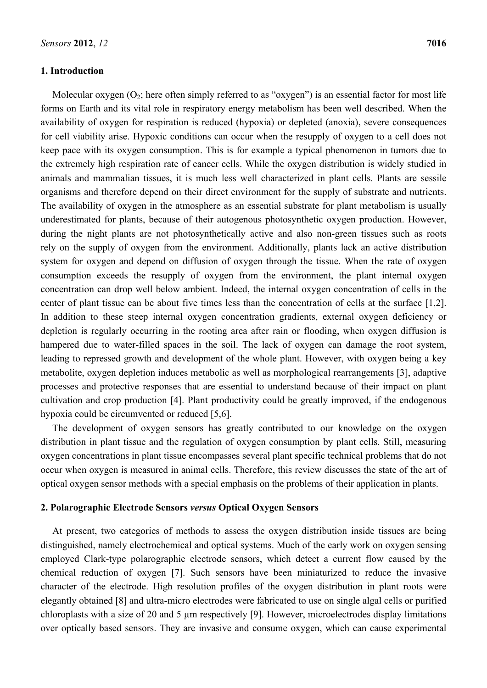#### **1. Introduction**

Molecular oxygen  $(O_2)$ ; here often simply referred to as "oxygen") is an essential factor for most life forms on Earth and its vital role in respiratory energy metabolism has been well described. When the availability of oxygen for respiration is reduced (hypoxia) or depleted (anoxia), severe consequences for cell viability arise. Hypoxic conditions can occur when the resupply of oxygen to a cell does not keep pace with its oxygen consumption. This is for example a typical phenomenon in tumors due to the extremely high respiration rate of cancer cells. While the oxygen distribution is widely studied in animals and mammalian tissues, it is much less well characterized in plant cells. Plants are sessile organisms and therefore depend on their direct environment for the supply of substrate and nutrients. The availability of oxygen in the atmosphere as an essential substrate for plant metabolism is usually underestimated for plants, because of their autogenous photosynthetic oxygen production. However, during the night plants are not photosynthetically active and also non-green tissues such as roots rely on the supply of oxygen from the environment. Additionally, plants lack an active distribution system for oxygen and depend on diffusion of oxygen through the tissue. When the rate of oxygen consumption exceeds the resupply of oxygen from the environment, the plant internal oxygen concentration can drop well below ambient. Indeed, the internal oxygen concentration of cells in the center of plant tissue can be about five times less than the concentration of cells at the surface [1,2]. In addition to these steep internal oxygen concentration gradients, external oxygen deficiency or depletion is regularly occurring in the rooting area after rain or flooding, when oxygen diffusion is hampered due to water-filled spaces in the soil. The lack of oxygen can damage the root system, leading to repressed growth and development of the whole plant. However, with oxygen being a key metabolite, oxygen depletion induces metabolic as well as morphological rearrangements [3], adaptive processes and protective responses that are essential to understand because of their impact on plant cultivation and crop production [4]. Plant productivity could be greatly improved, if the endogenous hypoxia could be circumvented or reduced [5,6].

The development of oxygen sensors has greatly contributed to our knowledge on the oxygen distribution in plant tissue and the regulation of oxygen consumption by plant cells. Still, measuring oxygen concentrations in plant tissue encompasses several plant specific technical problems that do not occur when oxygen is measured in animal cells. Therefore, this review discusses the state of the art of optical oxygen sensor methods with a special emphasis on the problems of their application in plants.

#### **2. Polarographic Electrode Sensors** *versus* **Optical Oxygen Sensors**

At present, two categories of methods to assess the oxygen distribution inside tissues are being distinguished, namely electrochemical and optical systems. Much of the early work on oxygen sensing employed Clark-type polarographic electrode sensors, which detect a current flow caused by the chemical reduction of oxygen [7]. Such sensors have been miniaturized to reduce the invasive character of the electrode. High resolution profiles of the oxygen distribution in plant roots were elegantly obtained [8] and ultra-micro electrodes were fabricated to use on single algal cells or purified chloroplasts with a size of 20 and 5 µm respectively [9]. However, microelectrodes display limitations over optically based sensors. They are invasive and consume oxygen, which can cause experimental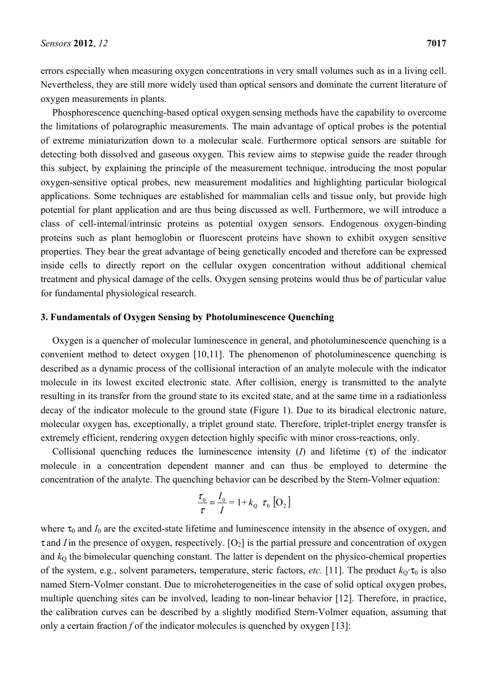errors especially when measuring oxygen concentrations in very small volumes such as in a living cell. Nevertheless, they are still more widely used than optical sensors and dominate the current literature of oxygen measurements in plants.

Phosphorescence quenching-based optical oxygen sensing methods have the capability to overcome the limitations of polarographic measurements. The main advantage of optical probes is the potential of extreme miniaturization down to a molecular scale. Furthermore optical sensors are suitable for detecting both dissolved and gaseous oxygen. This review aims to stepwise guide the reader through this subject, by explaining the principle of the measurement technique, introducing the most popular oxygen-sensitive optical probes, new measurement modalities and highlighting particular biological applications. Some techniques are established for mammalian cells and tissue only, but provide high potential for plant application and are thus being discussed as well. Furthermore, we will introduce a class of cell-internal/intrinsic proteins as potential oxygen sensors. Endogenous oxygen-binding proteins such as plant hemoglobin or fluorescent proteins have shown to exhibit oxygen sensitive properties. They bear the great advantage of being genetically encoded and therefore can be expressed inside cells to directly report on the cellular oxygen concentration without additional chemical treatment and physical damage of the cells. Oxygen sensing proteins would thus be of particular value for fundamental physiological research.

#### **3. Fundamentals of Oxygen Sensing by Photoluminescence Quenching**

Oxygen is a quencher of molecular luminescence in general, and photoluminescence quenching is a convenient method to detect oxygen [10,11]. The phenomenon of photoluminescence quenching is described as a dynamic process of the collisional interaction of an analyte molecule with the indicator molecule in its lowest excited electronic state. After collision, energy is transmitted to the analyte resulting in its transfer from the ground state to its excited state, and at the same time in a radiationless decay of the indicator molecule to the ground state (Figure 1). Due to its biradical electronic nature, molecular oxygen has, exceptionally, a triplet ground state. Therefore, triplet-triplet energy transfer is extremely efficient, rendering oxygen detection highly specific with minor cross-reactions, only.

Collisional quenching reduces the luminescence intensity (*I*) and lifetime (τ) of the indicator molecule in a concentration dependent manner and can thus be employed to determine the concentration of the analyte. The quenching behavior can be described by the Stern-Volmer equation:

$$
\frac{\tau_0}{\tau} = \frac{I_0}{I} = 1 + k_{\text{Q}} \ \tau_0 \ [\text{O}_2]
$$

where  $\tau_0$  and  $I_0$  are the excited-state lifetime and luminescence intensity in the absence of oxygen, and  $\tau$  and *I* in the presence of oxygen, respectively. [O<sub>2</sub>] is the partial pressure and concentration of oxygen and  $k_0$  the bimolecular quenching constant. The latter is dependent on the physico-chemical properties of the system, e.g., solvent parameters, temperature, steric factors, *etc.* [11]. The product  $k_0 \tau_0$  is also named Stern-Volmer constant. Due to microheterogeneities in the case of solid optical oxygen probes, multiple quenching sites can be involved, leading to non-linear behavior [12]. Therefore, in practice, the calibration curves can be described by a slightly modified Stern-Volmer equation, assuming that only a certain fraction *f* of the indicator molecules is quenched by oxygen [13]: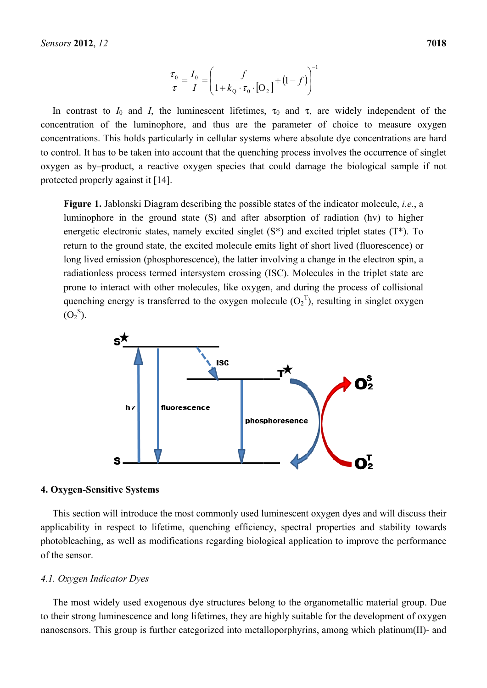$$
\frac{\tau_0}{\tau} = \frac{I_0}{I} = \left(\frac{f}{1 + k_0 \cdot \tau_0 \cdot [O_2]}\right)^{-1}
$$

concentration of the luminophore, and thus are the parameter of choice to measure oxygen concentrations. This holds particularly in cellular systems where absolute dye concentrations are hard to control. It has to be taken into account that the quenching process involves the occurrence of singlet oxygen as by-product, a reactive oxygen species that could damage the biological sample if not protected properly against it [14]. In contrast to  $I_0$  and *I*, the luminescent lifetimes,  $\tau_0$  and  $\tau$ , are widely independent of the

**Figure 1.** Jablonski Diagram describing the possible states of the indicator molecule, *i.e.*, a luminophore in the ground state (S) and after absorption of radiation (hv) to higher energetic electronic states, namely excited singlet  $(S^*)$  and excited triplet states  $(T^*)$ . To return to the ground state, the excited molecule emits light of short lived (fluorescence) or long lived emission (phosphorescence), the latter involving a change in the electron spin, a radiationless process termed intersystem crossing (ISC). Molecules in the triplet state are prone to interact with other molecules, like oxygen, and during the process of collisional quenching energy is transferred to the oxygen molecule  $(O_2^T)$ , resulting in singlet oxygen  $(O_2^S)$ .



#### **4. Oxygen-Sensitive Systems**

applicability in respect to lifetime, quenching efficiency, spectral properties and stability towards photobleaching, as well as modifications regarding biological application to improve the performance of the sensor. This section will introduce the most commonly used luminescent oxygen dyes and will discuss their

#### *4 4.1. Oxygen Indicator D Dyes*

to their strong luminescence and long lifetimes, they are highly suitable for the development of oxygen nanosensors. This group is further categorized into metalloporphyrins, among which platinum(II)- and The most widely used exogenous dye structures belong to the organometallic material group. Due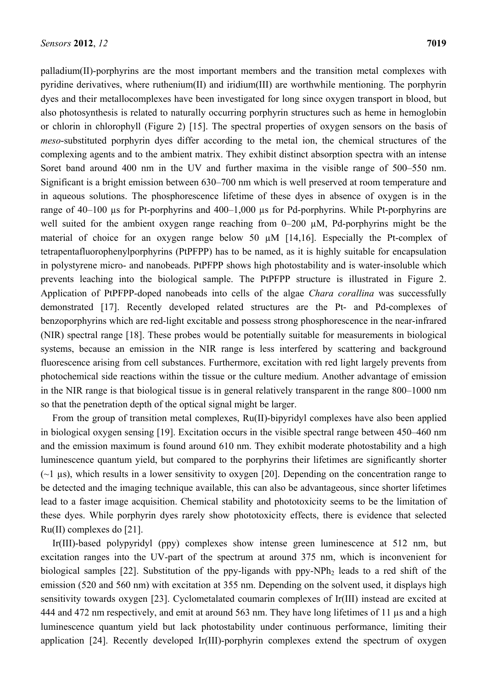palladium(II)-porphyrins are the most important members and the transition metal complexes with pyridine derivatives, where ruthenium(II) and iridium(III) are worthwhile mentioning. The porphyrin dyes and their metallocomplexes have been investigated for long since oxygen transport in blood, but also photosynthesis is related to naturally occurring porphyrin structures such as heme in hemoglobin or chlorin in chlorophyll (Figure 2) [15]. The spectral properties of oxygen sensors on the basis of *meso*-substituted porphyrin dyes differ according to the metal ion, the chemical structures of the complexing agents and to the ambient matrix. They exhibit distinct absorption spectra with an intense Soret band around 400 nm in the UV and further maxima in the visible range of 500–550 nm. Significant is a bright emission between 630–700 nm which is well preserved at room temperature and in aqueous solutions. The phosphorescence lifetime of these dyes in absence of oxygen is in the range of 40–100 µs for Pt-porphyrins and 400–1,000 µs for Pd-porphyrins. While Pt-porphyrins are well suited for the ambient oxygen range reaching from 0–200  $\mu$ M, Pd-porphyrins might be the material of choice for an oxygen range below 50  $\mu$ M [14,16]. Especially the Pt-complex of tetrapentafluorophenylporphyrins (PtPFPP) has to be named, as it is highly suitable for encapsulation in polystyrene micro- and nanobeads. PtPFPP shows high photostability and is water-insoluble which prevents leaching into the biological sample. The PtPFPP structure is illustrated in Figure 2. Application of PtPFPP-doped nanobeads into cells of the algae *Chara corallina* was successfully demonstrated [17]. Recently developed related structures are the Pt- and Pd-complexes of benzoporphyrins which are red-light excitable and possess strong phosphorescence in the near-infrared (NIR) spectral range [18]. These probes would be potentially suitable for measurements in biological systems, because an emission in the NIR range is less interfered by scattering and background fluorescence arising from cell substances. Furthermore, excitation with red light largely prevents from photochemical side reactions within the tissue or the culture medium. Another advantage of emission in the NIR range is that biological tissue is in general relatively transparent in the range 800–1000 nm so that the penetration depth of the optical signal might be larger.

From the group of transition metal complexes, Ru(II)-bipyridyl complexes have also been applied in biological oxygen sensing [19]. Excitation occurs in the visible spectral range between 450–460 nm and the emission maximum is found around 610 nm. They exhibit moderate photostability and a high luminescence quantum yield, but compared to the porphyrins their lifetimes are significantly shorter  $(\sim)$  µs), which results in a lower sensitivity to oxygen [20]. Depending on the concentration range to be detected and the imaging technique available, this can also be advantageous, since shorter lifetimes lead to a faster image acquisition. Chemical stability and phototoxicity seems to be the limitation of these dyes. While porphyrin dyes rarely show phototoxicity effects, there is evidence that selected Ru(II) complexes do [21].

Ir(III)-based polypyridyl (ppy) complexes show intense green luminescence at 512 nm, but excitation ranges into the UV-part of the spectrum at around 375 nm, which is inconvenient for biological samples [22]. Substitution of the ppy-ligands with ppy-NPh<sub>2</sub> leads to a red shift of the emission (520 and 560 nm) with excitation at 355 nm. Depending on the solvent used, it displays high sensitivity towards oxygen [23]. Cyclometalated coumarin complexes of Ir(III) instead are excited at 444 and 472 nm respectively, and emit at around 563 nm. They have long lifetimes of 11 us and a high luminescence quantum yield but lack photostability under continuous performance, limiting their application [24]. Recently developed Ir(III)-porphyrin complexes extend the spectrum of oxygen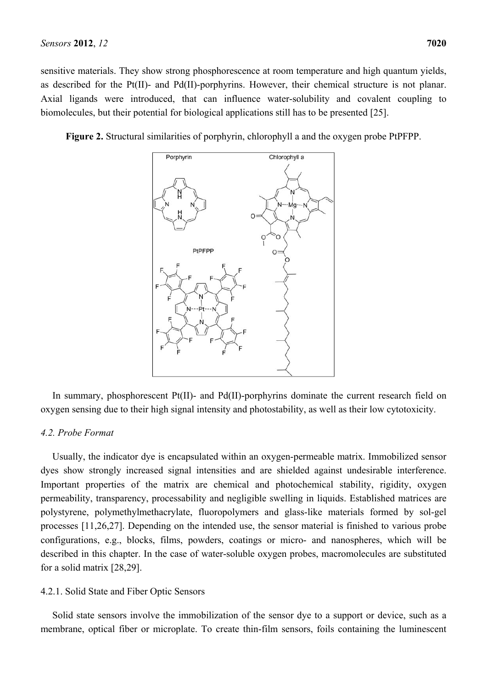sensitive materials. They show strong phosphorescence at room temperature and high quantum yields, as described for the Pt(II)- and Pd(II)-porphyrins. However, their chemical structure is not planar. Axial ligands were introduced, that can influence water-solubility and covalent coupling to biomolecules, but their potential for biological applications still has to be presented [25].



**Figure 2.** Structural similarities of porphyrin, chlorophyll a and the oxygen probe PtPFPP.

In summary, phosphorescent Pt(II)- and Pd(II)-porphyrins dominate the current research field on oxygen sensing due to their high signal intensity and photostability, as well as their low cytotoxicity.

#### *4.2. Probe Format*

Usually, the indicator dye is encapsulated within an oxygen-permeable matrix. Immobilized sensor dyes show strongly increased signal intensities and are shielded against undesirable interference. Important properties of the matrix are chemical and photochemical stability, rigidity, oxygen permeability, transparency, processability and negligible swelling in liquids. Established matrices are polystyrene, polymethylmethacrylate, fluoropolymers and glass-like materials formed by sol-gel processes [11,26,27]. Depending on the intended use, the sensor material is finished to various probe configurations, e.g., blocks, films, powders, coatings or micro- and nanospheres, which will be described in this chapter. In the case of water-soluble oxygen probes, macromolecules are substituted for a solid matrix [28,29].

#### 4.2.1. Solid State and Fiber Optic Sensors

Solid state sensors involve the immobilization of the sensor dye to a support or device, such as a membrane, optical fiber or microplate. To create thin-film sensors, foils containing the luminescent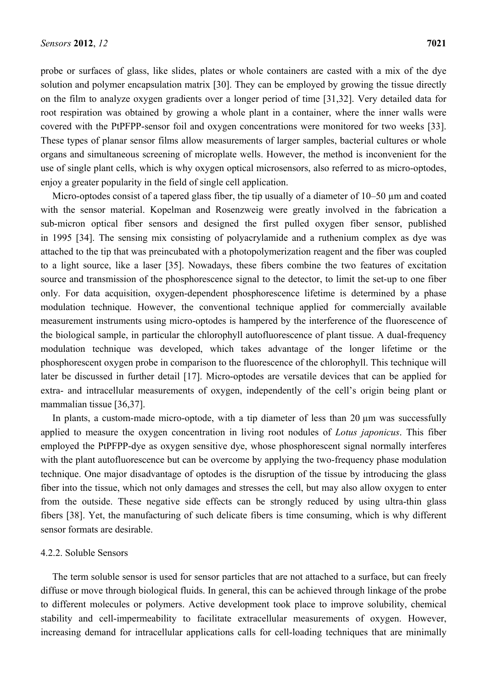probe or surfaces of glass, like slides, plates or whole containers are casted with a mix of the dye solution and polymer encapsulation matrix [30]. They can be employed by growing the tissue directly on the film to analyze oxygen gradients over a longer period of time [31,32]. Very detailed data for root respiration was obtained by growing a whole plant in a container, where the inner walls were covered with the PtPFPP-sensor foil and oxygen concentrations were monitored for two weeks [33]. These types of planar sensor films allow measurements of larger samples, bacterial cultures or whole organs and simultaneous screening of microplate wells. However, the method is inconvenient for the use of single plant cells, which is why oxygen optical microsensors, also referred to as micro-optodes, enjoy a greater popularity in the field of single cell application.

Micro-optodes consist of a tapered glass fiber, the tip usually of a diameter of 10–50 µm and coated with the sensor material. Kopelman and Rosenzweig were greatly involved in the fabrication a sub-micron optical fiber sensors and designed the first pulled oxygen fiber sensor, published in 1995 [34]. The sensing mix consisting of polyacrylamide and a ruthenium complex as dye was attached to the tip that was preincubated with a photopolymerization reagent and the fiber was coupled to a light source, like a laser [35]. Nowadays, these fibers combine the two features of excitation source and transmission of the phosphorescence signal to the detector, to limit the set-up to one fiber only. For data acquisition, oxygen-dependent phosphorescence lifetime is determined by a phase modulation technique. However, the conventional technique applied for commercially available measurement instruments using micro-optodes is hampered by the interference of the fluorescence of the biological sample, in particular the chlorophyll autofluorescence of plant tissue. A dual-frequency modulation technique was developed, which takes advantage of the longer lifetime or the phosphorescent oxygen probe in comparison to the fluorescence of the chlorophyll. This technique will later be discussed in further detail [17]. Micro-optodes are versatile devices that can be applied for extra- and intracellular measurements of oxygen, independently of the cell's origin being plant or mammalian tissue [36,37].

In plants, a custom-made micro-optode, with a tip diameter of less than 20 um was successfully applied to measure the oxygen concentration in living root nodules of *Lotus japonicus*. This fiber employed the PtPFPP-dye as oxygen sensitive dye, whose phosphorescent signal normally interferes with the plant autofluorescence but can be overcome by applying the two-frequency phase modulation technique. One major disadvantage of optodes is the disruption of the tissue by introducing the glass fiber into the tissue, which not only damages and stresses the cell, but may also allow oxygen to enter from the outside. These negative side effects can be strongly reduced by using ultra-thin glass fibers [38]. Yet, the manufacturing of such delicate fibers is time consuming, which is why different sensor formats are desirable.

#### 4.2.2. Soluble Sensors

The term soluble sensor is used for sensor particles that are not attached to a surface, but can freely diffuse or move through biological fluids. In general, this can be achieved through linkage of the probe to different molecules or polymers. Active development took place to improve solubility, chemical stability and cell-impermeability to facilitate extracellular measurements of oxygen. However, increasing demand for intracellular applications calls for cell-loading techniques that are minimally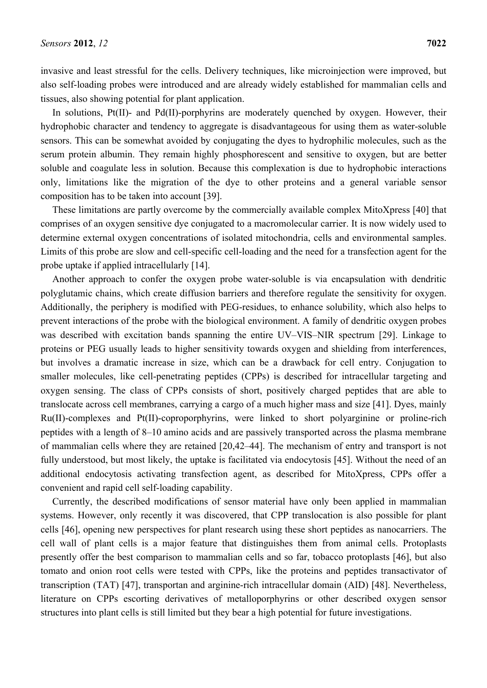invasive and least stressful for the cells. Delivery techniques, like microinjection were improved, but also self-loading probes were introduced and are already widely established for mammalian cells and tissues, also showing potential for plant application.

In solutions, Pt(II)- and Pd(II)-porphyrins are moderately quenched by oxygen. However, their hydrophobic character and tendency to aggregate is disadvantageous for using them as water-soluble sensors. This can be somewhat avoided by conjugating the dyes to hydrophilic molecules, such as the serum protein albumin. They remain highly phosphorescent and sensitive to oxygen, but are better soluble and coagulate less in solution. Because this complexation is due to hydrophobic interactions only, limitations like the migration of the dye to other proteins and a general variable sensor composition has to be taken into account [39].

These limitations are partly overcome by the commercially available complex MitoXpress [40] that comprises of an oxygen sensitive dye conjugated to a macromolecular carrier. It is now widely used to determine external oxygen concentrations of isolated mitochondria, cells and environmental samples. Limits of this probe are slow and cell-specific cell-loading and the need for a transfection agent for the probe uptake if applied intracellularly [14].

Another approach to confer the oxygen probe water-soluble is via encapsulation with dendritic polyglutamic chains, which create diffusion barriers and therefore regulate the sensitivity for oxygen. Additionally, the periphery is modified with PEG-residues, to enhance solubility, which also helps to prevent interactions of the probe with the biological environment. A family of dendritic oxygen probes was described with excitation bands spanning the entire UV–VIS–NIR spectrum [29]. Linkage to proteins or PEG usually leads to higher sensitivity towards oxygen and shielding from interferences, but involves a dramatic increase in size, which can be a drawback for cell entry. Conjugation to smaller molecules, like cell-penetrating peptides (CPPs) is described for intracellular targeting and oxygen sensing. The class of CPPs consists of short, positively charged peptides that are able to translocate across cell membranes, carrying a cargo of a much higher mass and size [41]. Dyes, mainly Ru(II)-complexes and Pt(II)-coproporphyrins, were linked to short polyarginine or proline-rich peptides with a length of 8–10 amino acids and are passively transported across the plasma membrane of mammalian cells where they are retained [20,42–44]. The mechanism of entry and transport is not fully understood, but most likely, the uptake is facilitated via endocytosis [45]. Without the need of an additional endocytosis activating transfection agent, as described for MitoXpress, CPPs offer a convenient and rapid cell self-loading capability.

Currently, the described modifications of sensor material have only been applied in mammalian systems. However, only recently it was discovered, that CPP translocation is also possible for plant cells [46], opening new perspectives for plant research using these short peptides as nanocarriers. The cell wall of plant cells is a major feature that distinguishes them from animal cells. Protoplasts presently offer the best comparison to mammalian cells and so far, tobacco protoplasts [46], but also tomato and onion root cells were tested with CPPs, like the proteins and peptides transactivator of transcription (TAT) [47], transportan and arginine-rich intracellular domain (AID) [48]. Nevertheless, literature on CPPs escorting derivatives of metalloporphyrins or other described oxygen sensor structures into plant cells is still limited but they bear a high potential for future investigations.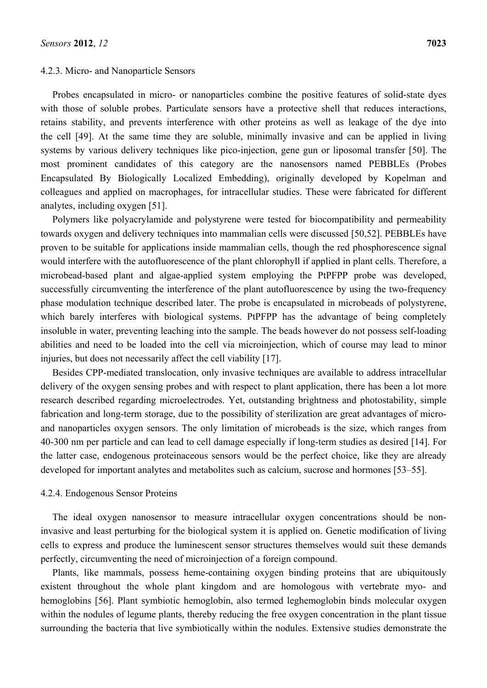#### 4.2.3. Micro- and Nanoparticle Sensors

Probes encapsulated in micro- or nanoparticles combine the positive features of solid-state dyes with those of soluble probes. Particulate sensors have a protective shell that reduces interactions, retains stability, and prevents interference with other proteins as well as leakage of the dye into the cell [49]. At the same time they are soluble, minimally invasive and can be applied in living systems by various delivery techniques like pico-injection, gene gun or liposomal transfer [50]. The most prominent candidates of this category are the nanosensors named PEBBLEs (Probes Encapsulated By Biologically Localized Embedding), originally developed by Kopelman and colleagues and applied on macrophages, for intracellular studies. These were fabricated for different analytes, including oxygen [51].

Polymers like polyacrylamide and polystyrene were tested for biocompatibility and permeability towards oxygen and delivery techniques into mammalian cells were discussed [50,52]. PEBBLEs have proven to be suitable for applications inside mammalian cells, though the red phosphorescence signal would interfere with the autofluorescence of the plant chlorophyll if applied in plant cells. Therefore, a microbead-based plant and algae-applied system employing the PtPFPP probe was developed, successfully circumventing the interference of the plant autofluorescence by using the two-frequency phase modulation technique described later. The probe is encapsulated in microbeads of polystyrene, which barely interferes with biological systems. PtPFPP has the advantage of being completely insoluble in water, preventing leaching into the sample. The beads however do not possess self-loading abilities and need to be loaded into the cell via microinjection, which of course may lead to minor injuries, but does not necessarily affect the cell viability [17].

Besides CPP-mediated translocation, only invasive techniques are available to address intracellular delivery of the oxygen sensing probes and with respect to plant application, there has been a lot more research described regarding microelectrodes. Yet, outstanding brightness and photostability, simple fabrication and long-term storage, due to the possibility of sterilization are great advantages of microand nanoparticles oxygen sensors. The only limitation of microbeads is the size, which ranges from 40-300 nm per particle and can lead to cell damage especially if long-term studies as desired [14]. For the latter case, endogenous proteinaceous sensors would be the perfect choice, like they are already developed for important analytes and metabolites such as calcium, sucrose and hormones [53–55].

#### 4.2.4. Endogenous Sensor Proteins

The ideal oxygen nanosensor to measure intracellular oxygen concentrations should be noninvasive and least perturbing for the biological system it is applied on. Genetic modification of living cells to express and produce the luminescent sensor structures themselves would suit these demands perfectly, circumventing the need of microinjection of a foreign compound.

Plants, like mammals, possess heme-containing oxygen binding proteins that are ubiquitously existent throughout the whole plant kingdom and are homologous with vertebrate myo- and hemoglobins [56]. Plant symbiotic hemoglobin, also termed leghemoglobin binds molecular oxygen within the nodules of legume plants, thereby reducing the free oxygen concentration in the plant tissue surrounding the bacteria that live symbiotically within the nodules. Extensive studies demonstrate the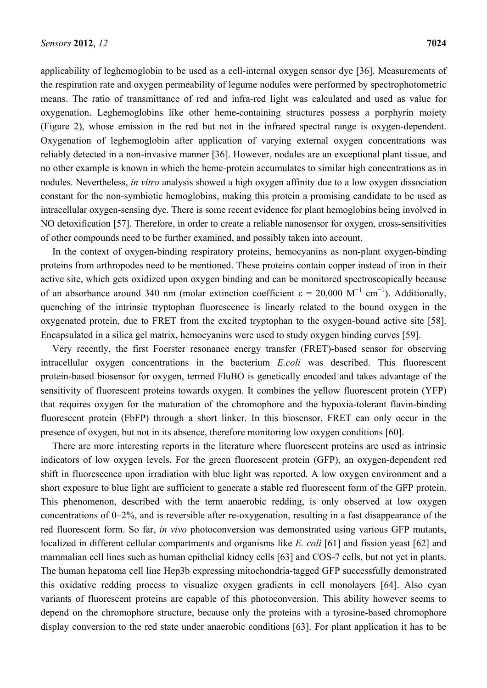applicability of leghemoglobin to be used as a cell-internal oxygen sensor dye [36]. Measurements of the respiration rate and oxygen permeability of legume nodules were performed by spectrophotometric means. The ratio of transmittance of red and infra-red light was calculated and used as value for oxygenation. Leghemoglobins like other heme-containing structures possess a porphyrin moiety (Figure 2), whose emission in the red but not in the infrared spectral range is oxygen-dependent. Oxygenation of leghemoglobin after application of varying external oxygen concentrations was reliably detected in a non-invasive manner [36]. However, nodules are an exceptional plant tissue, and no other example is known in which the heme-protein accumulates to similar high concentrations as in nodules. Nevertheless, *in vitro* analysis showed a high oxygen affinity due to a low oxygen dissociation constant for the non-symbiotic hemoglobins, making this protein a promising candidate to be used as intracellular oxygen-sensing dye. There is some recent evidence for plant hemoglobins being involved in NO detoxification [57]. Therefore, in order to create a reliable nanosensor for oxygen, cross-sensitivities of other compounds need to be further examined, and possibly taken into account.

In the context of oxygen-binding respiratory proteins, hemocyanins as non-plant oxygen-binding proteins from arthropodes need to be mentioned. These proteins contain copper instead of iron in their active site, which gets oxidized upon oxygen binding and can be monitored spectroscopically because of an absorbance around 340 nm (molar extinction coefficient  $\epsilon = 20,000 \text{ M}^{-1} \text{ cm}^{-1}$ ). Additionally, quenching of the intrinsic tryptophan fluorescence is linearly related to the bound oxygen in the oxygenated protein, due to FRET from the excited tryptophan to the oxygen-bound active site [58]. Encapsulated in a silica gel matrix, hemocyanins were used to study oxygen binding curves [59].

Very recently, the first Foerster resonance energy transfer (FRET)-based sensor for observing intracellular oxygen concentrations in the bacterium *E.coli* was described. This fluorescent protein-based biosensor for oxygen, termed FluBO is genetically encoded and takes advantage of the sensitivity of fluorescent proteins towards oxygen. It combines the yellow fluorescent protein (YFP) that requires oxygen for the maturation of the chromophore and the hypoxia-tolerant flavin-binding fluorescent protein (FbFP) through a short linker. In this biosensor, FRET can only occur in the presence of oxygen, but not in its absence, therefore monitoring low oxygen conditions [60].

There are more interesting reports in the literature where fluorescent proteins are used as intrinsic indicators of low oxygen levels. For the green fluorescent protein (GFP), an oxygen-dependent red shift in fluorescence upon irradiation with blue light was reported. A low oxygen environment and a short exposure to blue light are sufficient to generate a stable red fluorescent form of the GFP protein. This phenomenon, described with the term anaerobic redding, is only observed at low oxygen concentrations of 0–2%, and is reversible after re-oxygenation, resulting in a fast disappearance of the red fluorescent form. So far, *in vivo* photoconversion was demonstrated using various GFP mutants, localized in different cellular compartments and organisms like *E. coli* [61] and fission yeast [62] and mammalian cell lines such as human epithelial kidney cells [63] and COS-7 cells, but not yet in plants. The human hepatoma cell line Hep3b expressing mitochondria-tagged GFP successfully demonstrated this oxidative redding process to visualize oxygen gradients in cell monolayers [64]. Also cyan variants of fluorescent proteins are capable of this photoconversion. This ability however seems to depend on the chromophore structure, because only the proteins with a tyrosine-based chromophore display conversion to the red state under anaerobic conditions [63]. For plant application it has to be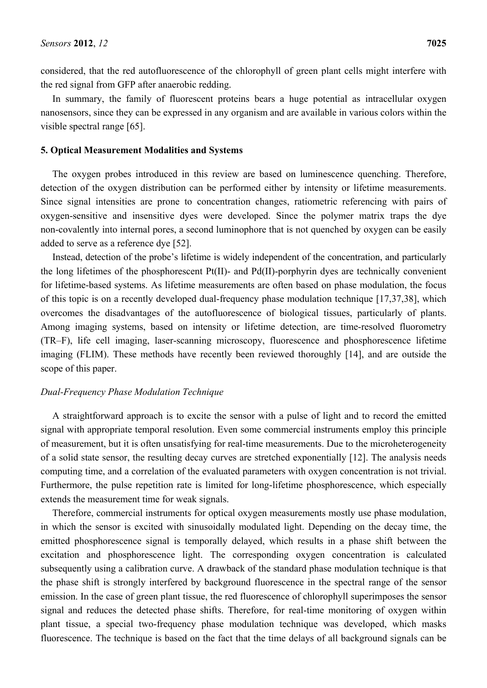considered, that the red autofluorescence of the chlorophyll of green plant cells might interfere with the red signal from GFP after anaerobic redding.

In summary, the family of fluorescent proteins bears a huge potential as intracellular oxygen nanosensors, since they can be expressed in any organism and are available in various colors within the visible spectral range [65].

#### **5. Optical Measurement Modalities and Systems**

The oxygen probes introduced in this review are based on luminescence quenching. Therefore, detection of the oxygen distribution can be performed either by intensity or lifetime measurements. Since signal intensities are prone to concentration changes, ratiometric referencing with pairs of oxygen-sensitive and insensitive dyes were developed. Since the polymer matrix traps the dye non-covalently into internal pores, a second luminophore that is not quenched by oxygen can be easily added to serve as a reference dye [52].

Instead, detection of the probe's lifetime is widely independent of the concentration, and particularly the long lifetimes of the phosphorescent Pt(II)- and Pd(II)-porphyrin dyes are technically convenient for lifetime-based systems. As lifetime measurements are often based on phase modulation, the focus of this topic is on a recently developed dual-frequency phase modulation technique [17,37,38], which overcomes the disadvantages of the autofluorescence of biological tissues, particularly of plants. Among imaging systems, based on intensity or lifetime detection, are time-resolved fluorometry (TR–F), life cell imaging, laser-scanning microscopy, fluorescence and phosphorescence lifetime imaging (FLIM). These methods have recently been reviewed thoroughly [14], and are outside the scope of this paper.

#### *Dual-Frequency Phase Modulation Technique*

A straightforward approach is to excite the sensor with a pulse of light and to record the emitted signal with appropriate temporal resolution. Even some commercial instruments employ this principle of measurement, but it is often unsatisfying for real-time measurements. Due to the microheterogeneity of a solid state sensor, the resulting decay curves are stretched exponentially [12]. The analysis needs computing time, and a correlation of the evaluated parameters with oxygen concentration is not trivial. Furthermore, the pulse repetition rate is limited for long-lifetime phosphorescence, which especially extends the measurement time for weak signals.

Therefore, commercial instruments for optical oxygen measurements mostly use phase modulation, in which the sensor is excited with sinusoidally modulated light. Depending on the decay time, the emitted phosphorescence signal is temporally delayed, which results in a phase shift between the excitation and phosphorescence light. The corresponding oxygen concentration is calculated subsequently using a calibration curve. A drawback of the standard phase modulation technique is that the phase shift is strongly interfered by background fluorescence in the spectral range of the sensor emission. In the case of green plant tissue, the red fluorescence of chlorophyll superimposes the sensor signal and reduces the detected phase shifts. Therefore, for real-time monitoring of oxygen within plant tissue, a special two-frequency phase modulation technique was developed, which masks fluorescence. The technique is based on the fact that the time delays of all background signals can be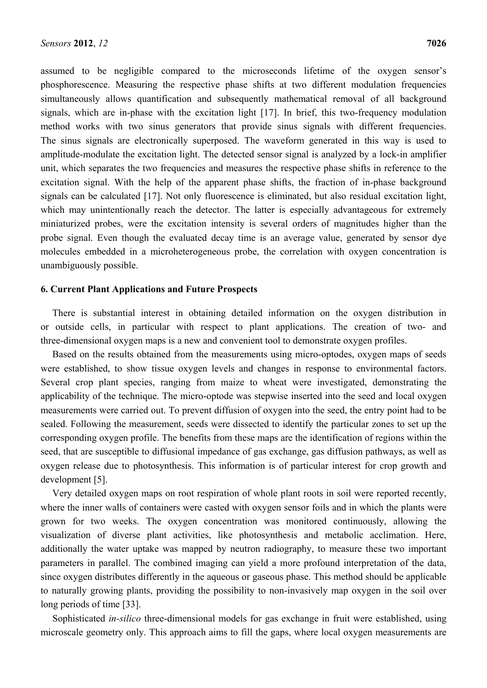assumed to be negligible compared to the microseconds lifetime of the oxygen sensor's phosphorescence. Measuring the respective phase shifts at two different modulation frequencies simultaneously allows quantification and subsequently mathematical removal of all background signals, which are in-phase with the excitation light [17]. In brief, this two-frequency modulation method works with two sinus generators that provide sinus signals with different frequencies. The sinus signals are electronically superposed. The waveform generated in this way is used to amplitude-modulate the excitation light. The detected sensor signal is analyzed by a lock-in amplifier unit, which separates the two frequencies and measures the respective phase shifts in reference to the excitation signal. With the help of the apparent phase shifts, the fraction of in-phase background signals can be calculated [17]. Not only fluorescence is eliminated, but also residual excitation light, which may unintentionally reach the detector. The latter is especially advantageous for extremely miniaturized probes, were the excitation intensity is several orders of magnitudes higher than the probe signal. Even though the evaluated decay time is an average value, generated by sensor dye molecules embedded in a microheterogeneous probe, the correlation with oxygen concentration is unambiguously possible.

#### **6. Current Plant Applications and Future Prospects**

There is substantial interest in obtaining detailed information on the oxygen distribution in or outside cells, in particular with respect to plant applications. The creation of two- and three-dimensional oxygen maps is a new and convenient tool to demonstrate oxygen profiles.

Based on the results obtained from the measurements using micro-optodes, oxygen maps of seeds were established, to show tissue oxygen levels and changes in response to environmental factors. Several crop plant species, ranging from maize to wheat were investigated, demonstrating the applicability of the technique. The micro-optode was stepwise inserted into the seed and local oxygen measurements were carried out. To prevent diffusion of oxygen into the seed, the entry point had to be sealed. Following the measurement, seeds were dissected to identify the particular zones to set up the corresponding oxygen profile. The benefits from these maps are the identification of regions within the seed, that are susceptible to diffusional impedance of gas exchange, gas diffusion pathways, as well as oxygen release due to photosynthesis. This information is of particular interest for crop growth and development [5].

Very detailed oxygen maps on root respiration of whole plant roots in soil were reported recently, where the inner walls of containers were casted with oxygen sensor foils and in which the plants were grown for two weeks. The oxygen concentration was monitored continuously, allowing the visualization of diverse plant activities, like photosynthesis and metabolic acclimation. Here, additionally the water uptake was mapped by neutron radiography, to measure these two important parameters in parallel. The combined imaging can yield a more profound interpretation of the data, since oxygen distributes differently in the aqueous or gaseous phase. This method should be applicable to naturally growing plants, providing the possibility to non-invasively map oxygen in the soil over long periods of time [33].

Sophisticated *in-silico* three-dimensional models for gas exchange in fruit were established, using microscale geometry only. This approach aims to fill the gaps, where local oxygen measurements are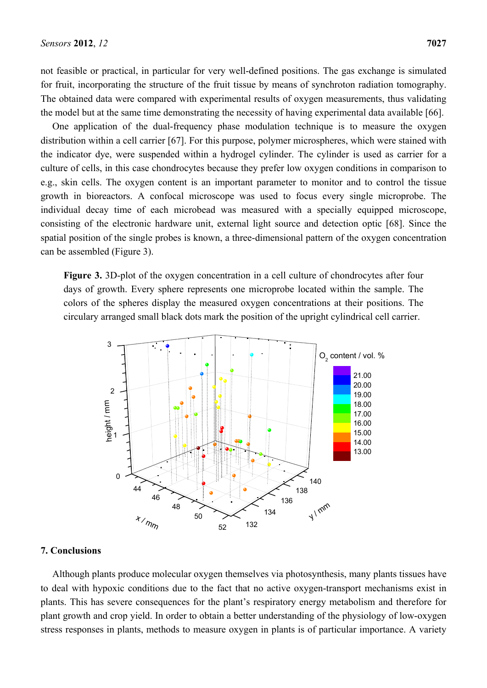not feasible or practical, in particular for very well-defined positions. The gas exchange is simulated for fruit, incorporating the structure of the fruit tissue by means of synchroton radiation tomography. The obtained data were compared with experimental results of oxygen measurements, thus validating the model but at the same time demonstrating the necessity of having experimental data available [66].

One application of the dual-frequency phase modulation technique is to measure the oxygen distribution within a cell carrier [67]. For this purpose, polymer microspheres, which were stained with the indicator dye, were suspended within a hydrogel cylinder. The cylinder is used as carrier for a culture of cells, in this case chondrocytes because they prefer low oxygen conditions in comparison to e.g., skin cells. The oxygen content is an important parameter to monitor and to control the tissue growth in bioreactors. A confocal microscope was used to focus every single microprobe. The individual decay time of each microbead was measured with a specially equipped microscope, consisting of the electronic hardware unit, external light source and detection optic [68]. Since the spatial position of the single probes is known, a three-dimensional pattern of the oxygen concentration can be assembled (Figure 3).

**Figure 3.** 3D-plot of the oxygen concentration in a cell culture of chondrocytes after four days of growth. Every sphere represents one microprobe located within the sample. The colors of the spheres display the measured oxygen concentrations at their positions. The circulary arranged small black dots mark the position of the upright cylindrical cell carrier.



#### **7. Conclusions**

Although plants produce molecular oxygen themselves via photosynthesis, many plants tissues have to deal with hypoxic conditions due to the fact that no active oxygen-transport mechanisms exist in plants. This has severe consequences for the plant's respiratory energy metabolism and therefore for plant growth and crop yield. In order to obtain a better understanding of the physiology of low-oxygen stress responses in plants, methods to measure oxygen in plants is of particular importance. A variety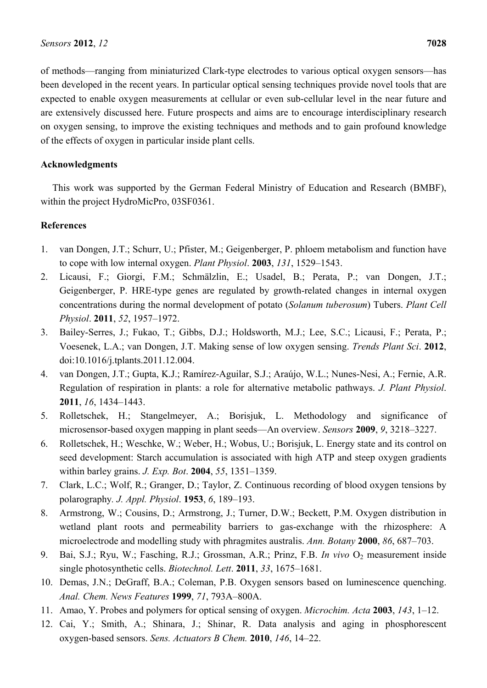of methods—ranging from miniaturized Clark-type electrodes to various optical oxygen sensors—has been developed in the recent years. In particular optical sensing techniques provide novel tools that are expected to enable oxygen measurements at cellular or even sub-cellular level in the near future and are extensively discussed here. Future prospects and aims are to encourage interdisciplinary research on oxygen sensing, to improve the existing techniques and methods and to gain profound knowledge of the effects of oxygen in particular inside plant cells.

## **Acknowledgments**

This work was supported by the German Federal Ministry of Education and Research (BMBF), within the project HydroMicPro, 03SF0361.

## **References**

- 1. van Dongen, J.T.; Schurr, U.; Pfister, M.; Geigenberger, P. phloem metabolism and function have to cope with low internal oxygen. *Plant Physiol*. **2003**, *131*, 1529–1543.
- 2. Licausi, F.; Giorgi, F.M.; Schmälzlin, E.; Usadel, B.; Perata, P.; van Dongen, J.T.; Geigenberger, P. HRE-type genes are regulated by growth-related changes in internal oxygen concentrations during the normal development of potato (*Solanum tuberosum*) Tubers. *Plant Cell Physiol*. **2011**, *52*, 1957–1972.
- 3. Bailey-Serres, J.; Fukao, T.; Gibbs, D.J.; Holdsworth, M.J.; Lee, S.C.; Licausi, F.; Perata, P.; Voesenek, L.A.; van Dongen, J.T. Making sense of low oxygen sensing. *Trends Plant Sci*. **2012**, doi:10.1016/j.tplants.2011.12.004.
- 4. van Dongen, J.T.; Gupta, K.J.; Ramírez-Aguilar, S.J.; Araújo, W.L.; Nunes-Nesi, A.; Fernie, A.R. Regulation of respiration in plants: a role for alternative metabolic pathways. *J. Plant Physiol*. **2011**, *16*, 1434–1443.
- 5. Rolletschek, H.; Stangelmeyer, A.; Borisjuk, L. Methodology and significance of microsensor-based oxygen mapping in plant seeds—An overview. *Sensors* **2009**, *9*, 3218–3227.
- 6. Rolletschek, H.; Weschke, W.; Weber, H.; Wobus, U.; Borisjuk, L. Energy state and its control on seed development: Starch accumulation is associated with high ATP and steep oxygen gradients within barley grains. *J. Exp. Bot*. **2004**, *55*, 1351–1359.
- 7. Clark, L.C.; Wolf, R.; Granger, D.; Taylor, Z. Continuous recording of blood oxygen tensions by polarography*. J. Appl. Physiol*. **1953**, *6*, 189–193.
- 8. Armstrong, W.; Cousins, D.; Armstrong, J.; Turner, D.W.; Beckett, P.M. Oxygen distribution in wetland plant roots and permeability barriers to gas-exchange with the rhizosphere: A microelectrode and modelling study with phragmites australis. *Ann. Botany* **2000**, *86*, 687–703.
- 9. Bai, S.J.; Ryu, W.; Fasching, R.J.; Grossman, A.R.; Prinz, F.B. *In vivo* O<sub>2</sub> measurement inside single photosynthetic cells. *Biotechnol. Lett*. **2011**, *33*, 1675–1681.
- 10. Demas, J.N.; DeGraff, B.A.; Coleman, P.B. Oxygen sensors based on luminescence quenching. *Anal. Chem. News Features* **1999**, *71*, 793A–800A.
- 11. Amao, Y. Probes and polymers for optical sensing of oxygen. *Microchim. Acta* **2003**, *143*, 1–12.
- 12. Cai, Y.; Smith, A.; Shinara, J.; Shinar, R. Data analysis and aging in phosphorescent oxygen-based sensors. *Sens. Actuators B Chem.* **2010**, *146*, 14–22.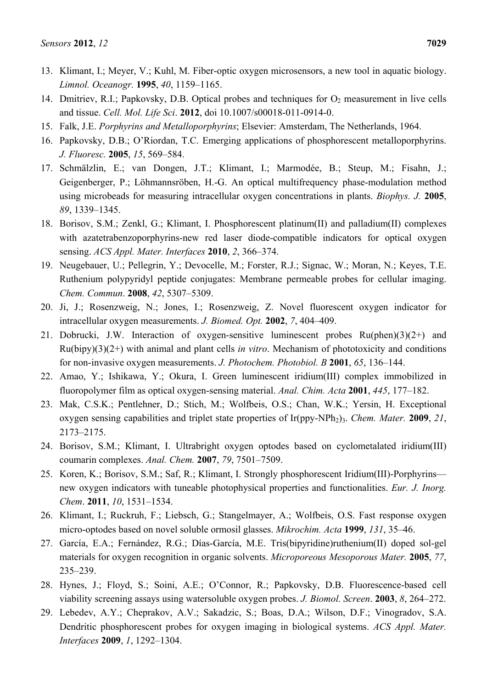- 13. Klimant, I.; Meyer, V.; Kuhl, M. Fiber-optic oxygen microsensors, a new tool in aquatic biology. *Limnol. Oceanogr.* **1995**, *40*, 1159–1165.
- 14. Dmitriev, R.I.; Papkovsky, D.B. Optical probes and techniques for  $O_2$  measurement in live cells and tissue. *Cell. Mol. Life Sci*. **2012**, doi 10.1007/s00018-011-0914-0.
- 15. Falk, J.E. *Porphyrins and Metalloporphyrins*; Elsevier: Amsterdam, The Netherlands, 1964.
- 16. Papkovsky, D.B.; O'Riordan, T.C. Emerging applications of phosphorescent metalloporphyrins. *J. Fluoresc.* **2005**, *15*, 569–584.
- 17. Schmälzlin, E.; van Dongen, J.T.; Klimant, I.; Marmodée, B.; Steup, M.; Fisahn, J.; Geigenberger, P.; Löhmannsröben, H.-G. An optical multifrequency phase-modulation method using microbeads for measuring intracellular oxygen concentrations in plants. *Biophys. J.* **2005**, *89*, 1339–1345.
- 18. Borisov, S.M.; Zenkl, G.; Klimant, I. Phosphorescent platinum(II) and palladium(II) complexes with azatetrabenzoporphyrins-new red laser diode-compatible indicators for optical oxygen sensing. *ACS Appl. Mater. Interfaces* **2010**, *2*, 366–374.
- 19. Neugebauer, U.; Pellegrin, Y.; Devocelle, M.; Forster, R.J.; Signac, W.; Moran, N.; Keyes, T.E. Ruthenium polypyridyl peptide conjugates: Membrane permeable probes for cellular imaging. *Chem. Commun*. **2008**, *42*, 5307–5309.
- 20. Ji, J.; Rosenzweig, N.; Jones, I.; Rosenzweig, Z. Novel fluorescent oxygen indicator for intracellular oxygen measurements. *J. Biomed. Opt.* **2002**, *7*, 404–409.
- 21. Dobrucki, J.W. Interaction of oxygen-sensitive luminescent probes Ru(phen)(3)(2+) and Ru(bipy)(3)(2+) with animal and plant cells *in vitro*. Mechanism of phototoxicity and conditions for non-invasive oxygen measurements. *J. Photochem. Photobiol. B* **2001**, *65*, 136–144.
- 22. Amao, Y.; Ishikawa, Y.; Okura, I. Green luminescent iridium(III) complex immobilized in fluoropolymer film as optical oxygen-sensing material. *Anal. Chim. Acta* **2001**, *445*, 177–182.
- 23. Mak, C.S.K.; Pentlehner, D.; Stich, M.; Wolfbeis, O.S.; Chan, W.K.; Yersin, H. Exceptional oxygen sensing capabilities and triplet state properties of Ir(ppy-NPh<sub>2</sub>)<sub>3</sub>. *Chem. Mater.* **2009**, 21, 2173–2175.
- 24. Borisov, S.M.; Klimant, I. Ultrabright oxygen optodes based on cyclometalated iridium(III) coumarin complexes. *Anal. Chem.* **2007**, *79*, 7501–7509.
- 25. Koren, K.; Borisov, S.M.; Saf, R.; Klimant, I. Strongly phosphorescent Iridium(III)-Porphyrins new oxygen indicators with tuneable photophysical properties and functionalities. *Eur. J. Inorg. Chem*. **2011**, *10*, 1531–1534.
- 26. Klimant, I.; Ruckruh, F.; Liebsch, G.; Stangelmayer, A.; Wolfbeis, O.S. Fast response oxygen micro-optodes based on novel soluble ormosil glasses. *Mikrochim. Acta* **1999**, *131*, 35–46.
- 27. García, E.A.; Fernández, R.G.; Días-García, M.E. Tris(bipyridine)ruthenium(II) doped sol-gel materials for oxygen recognition in organic solvents. *Microporeous Mesoporous Mater.* **2005**, *77*, 235–239.
- 28. Hynes, J.; Floyd, S.; Soini, A.E.; O'Connor, R.; Papkovsky, D.B. Fluorescence-based cell viability screening assays using watersoluble oxygen probes. *J. Biomol. Screen*. **2003**, *8*, 264–272.
- 29. Lebedev, A.Y.; Cheprakov, A.V.; Sakadzic, S.; Boas, D.A.; Wilson, D.F.; Vinogradov, S.A. Dendritic phosphorescent probes for oxygen imaging in biological systems. *ACS Appl. Mater. Interfaces* **2009**, *1*, 1292–1304.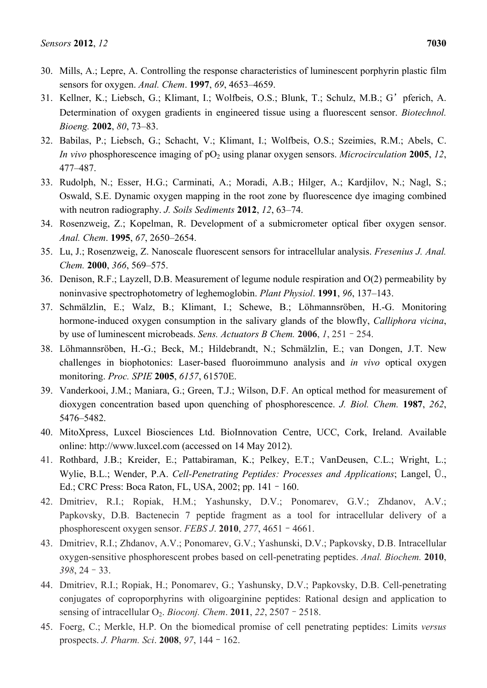- 30. Mills, A.; Lepre, A. Controlling the response characteristics of luminescent porphyrin plastic film sensors for oxygen. *Anal. Chem*. **1997**, *69*, 4653–4659.
- 31. Kellner, K.; Liebsch, G.; Klimant, I.; Wolfbeis, O.S.; Blunk, T.; Schulz, M.B.; G'pferich, A. Determination of oxygen gradients in engineered tissue using a fluorescent sensor. *Biotechnol. Bioeng.* **2002**, *80*, 73–83.
- 32. Babilas, P.; Liebsch, G.; Schacht, V.; Klimant, I.; Wolfbeis, O.S.; Szeimies, R.M.; Abels, C. *In vivo* phosphorescence imaging of  $pO<sub>2</sub>$  using planar oxygen sensors. *Microcirculation* **2005**, *12*, 477–487.
- 33. Rudolph, N.; Esser, H.G.; Carminati, A.; Moradi, A.B.; Hilger, A.; Kardjilov, N.; Nagl, S.; Oswald, S.E. Dynamic oxygen mapping in the root zone by fluorescence dye imaging combined with neutron radiography. *J. Soils Sediments* **2012**, *12*, 63–74.
- 34. Rosenzweig, Z.; Kopelman, R. Development of a submicrometer optical fiber oxygen sensor. *Anal. Chem*. **1995**, *67*, 2650–2654.
- 35. Lu, J.; Rosenzweig, Z. Nanoscale fluorescent sensors for intracellular analysis. *Fresenius J. Anal. Chem.* **2000**, *366*, 569–575.
- 36. Denison, R.F.; Layzell, D.B. Measurement of legume nodule respiration and O(2) permeability by noninvasive spectrophotometry of leghemoglobin. *Plant Physiol*. **1991**, *96*, 137–143.
- 37. Schmälzlin, E.; Walz, B.; Klimant, I.; Schewe, B.; Löhmannsröben, H.-G. Monitoring hormone-induced oxygen consumption in the salivary glands of the blowfly, *Calliphora vicina*, by use of luminescent microbeads. *Sens. Actuators B Chem.* **2006**, *1*, 251–254.
- 38. Löhmannsröben, H.-G.; Beck, M.; Hildebrandt, N.; Schmälzlin, E.; van Dongen, J.T. New challenges in biophotonics: Laser-based fluoroimmuno analysis and *in vivo* optical oxygen monitoring. *Proc. SPIE* **2005**, *6157*, 61570E.
- 39. Vanderkooi, J.M.; Maniara, G.; Green, T.J.; Wilson, D.F. An optical method for measurement of dioxygen concentration based upon quenching of phosphorescence. *J. Biol. Chem.* **1987**, *262*, 5476–5482.
- 40. MitoXpress, Luxcel Biosciences Ltd. BioInnovation Centre, UCC, Cork, Ireland. Available online: http://www.luxcel.com (accessed on 14 May 2012).
- 41. Rothbard, J.B.; Kreider, E.; Pattabiraman, K.; Pelkey, E.T.; VanDeusen, C.L.; Wright, L.; Wylie, B.L.; Wender, P.A. *Cell-Penetrating Peptides: Processes and Applications*; Langel, Ü., Ed.; CRC Press: Boca Raton, FL, USA, 2002; pp. 141–160.
- 42. Dmitriev, R.I.; Ropiak, H.M.; Yashunsky, D.V.; Ponomarev, G.V.; Zhdanov, A.V.; Papkovsky, D.B. Bactenecin 7 peptide fragment as a tool for intracellular delivery of a phosphorescent oxygen sensor. *FEBS J*. **2010**, *277*, 4651–4661.
- 43. Dmitriev, R.I.; Zhdanov, A.V.; Ponomarev, G.V.; Yashunski, D.V.; Papkovsky, D.B. Intracellular oxygen-sensitive phosphorescent probes based on cell-penetrating peptides. *Anal. Biochem.* **2010**, *398*, 24–33.
- 44. Dmitriev, R.I.; Ropiak, H.; Ponomarev, G.; Yashunsky, D.V.; Papkovsky, D.B. Cell-penetrating conjugates of coproporphyrins with oligoarginine peptides: Rational design and application to sensing of intracellular O<sub>2</sub>. *Bioconj. Chem.* **2011**, 22, 2507 – 2518.
- 45. Foerg, C.; Merkle, H.P. On the biomedical promise of cell penetrating peptides: Limits *versus* prospects. *J. Pharm. Sci*. **2008**, *97*, 144–162.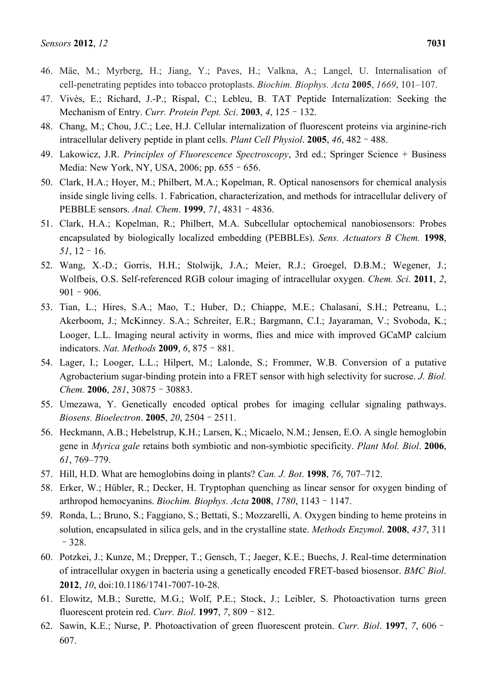- 46. Mäe, M.; Myrberg, H.; Jiang, Y.; Paves, H.; Valkna, A.; Langel, U. Internalisation of cell-penetrating peptides into tobacco protoplasts. *Biochim. Biophys. Acta* **2005**, *1669*, 101–107.
- 47. Vivès, E.; Richard, J.-P.; Rispal, C.; Lebleu, B. TAT Peptide Internalization: Seeking the Mechanism of Entry. *Curr. Protein Pept. Sci*. **2003**, *4*, 125–132.
- 48. Chang, M.; Chou, J.C.; Lee, H.J. Cellular internalization of fluorescent proteins via arginine-rich intracellular delivery peptide in plant cells. *Plant Cell Physiol*. **2005**, *46*, 482–488.
- 49. Lakowicz, J.R. *Principles of Fluorescence Spectroscopy*, 3rd ed.; Springer Science + Business Media: New York, NY, USA, 2006; pp. 655–656.
- 50. Clark, H.A.; Hoyer, M.; Philbert, M.A.; Kopelman, R. Optical nanosensors for chemical analysis inside single living cells. 1. Fabrication, characterization, and methods for intracellular delivery of PEBBLE sensors. *Anal. Chem*. **1999**, *71*, 4831–4836.
- 51. Clark, H.A.; Kopelman, R.; Philbert, M.A. Subcellular optochemical nanobiosensors: Probes encapsulated by biologically localized embedding (PEBBLEs). *Sens. Actuators B Chem.* **1998**, *51*, 12–16.
- 52. Wang, X.-D.; Gorris, H.H.; Stolwijk, J.A.; Meier, R.J.; Groegel, D.B.M.; Wegener, J.; Wolfbeis, O.S. Self-referenced RGB colour imaging of intracellular oxygen. *Chem. Sci*. **2011**, *2*, 901–906.
- 53. Tian, L.; Hires, S.A.; Mao, T.; Huber, D.; Chiappe, M.E.; Chalasani, S.H.; Petreanu, L.; Akerboom, J.; McKinney. S.A.; Schreiter, E.R.; Bargmann, C.I.; Jayaraman, V.; Svoboda, K.; Looger, L.L. Imaging neural activity in worms, flies and mice with improved GCaMP calcium indicators. *Nat. Methods* **2009**, *6*, 875–881.
- 54. Lager, I.; Looger, L.L.; Hilpert, M.; Lalonde, S.; Frommer, W.B. Conversion of a putative Agrobacterium sugar-binding protein into a FRET sensor with high selectivity for sucrose. *J. Biol. Chem.* **2006**, *281*, 30875–30883.
- 55. Umezawa, Y. Genetically encoded optical probes for imaging cellular signaling pathways. *Biosens. Bioelectron*. **2005**, *20*, 2504–2511.
- 56. Heckmann, A.B.; Hebelstrup, K.H.; Larsen, K.; Micaelo, N.M.; Jensen, E.O. A single hemoglobin gene in *Myrica gale* retains both symbiotic and non-symbiotic specificity. *Plant Mol. Biol*. **2006**, *61*, 769–779.
- 57. Hill, H.D. What are hemoglobins doing in plants? *Can. J. Bot*. **1998**, *76*, 707–712.
- 58. Erker, W.; Hübler, R.; Decker, H. Tryptophan quenching as linear sensor for oxygen binding of arthropod hemocyanins. *Biochim. Biophys. Acta* **2008**, *1780*, 1143–1147.
- 59. Ronda, L.; Bruno, S.; Faggiano, S.; Bettati, S.; Mozzarelli, A. Oxygen binding to heme proteins in solution, encapsulated in silica gels, and in the crystalline state. *Methods Enzymol*. **2008**, *437*, 311 –328.
- 60. Potzkei, J.; Kunze, M.; Drepper, T.; Gensch, T.; Jaeger, K.E.; Buechs, J. Real-time determination of intracellular oxygen in bacteria using a genetically encoded FRET-based biosensor. *BMC Biol*. **2012**, *10*, doi:10.1186/1741-7007-10-28.
- 61. Elowitz, M.B.; Surette, M.G.; Wolf, P.E.; Stock, J.; Leibler, S. Photoactivation turns green fluorescent protein red. *Curr. Biol*. **1997**, *7*, 809–812.
- 62. Sawin, K.E.; Nurse, P. Photoactivation of green fluorescent protein. *Curr. Biol*. **1997**, *7*, 606– 607.